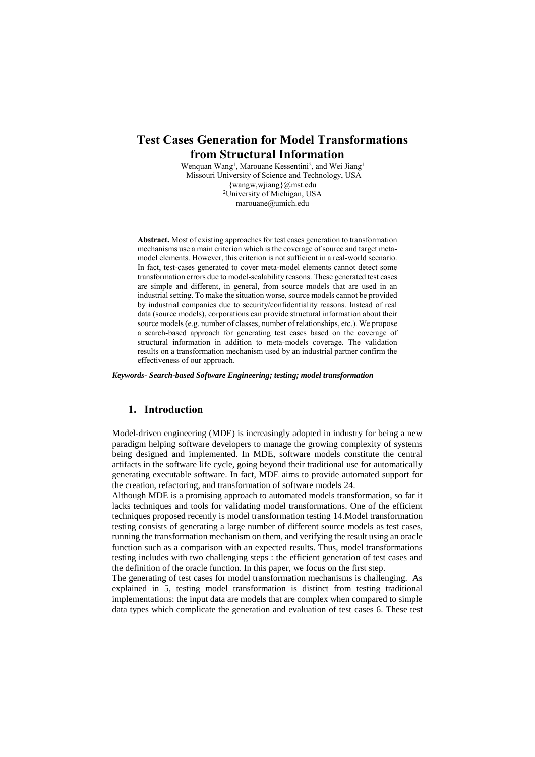## **Test Cases Generation for Model Transformations from Structural Information**

Wenquan Wang<sup>1</sup>, Marouane Kessentini<sup>2</sup>, and Wei Jiang<sup>1</sup> <sup>1</sup>Missouri University of Science and Technology, USA {wangw,wjiang}@mst.edu <sup>2</sup>University of Michigan, USA marouane@umich.edu

**Abstract.** Most of existing approaches for test cases generation to transformation mechanisms use a main criterion which is the coverage of source and target metamodel elements. However, this criterion is not sufficient in a real-world scenario. In fact, test-cases generated to cover meta-model elements cannot detect some transformation errors due to model-scalability reasons. These generated test cases are simple and different, in general, from source models that are used in an industrial setting. To make the situation worse, source models cannot be provided by industrial companies due to security/confidentiality reasons. Instead of real data (source models), corporations can provide structural information about their source models (e.g. number of classes, number of relationships, etc.). We propose a search-based approach for generating test cases based on the coverage of structural information in addition to meta-models coverage. The validation results on a transformation mechanism used by an industrial partner confirm the effectiveness of our approach.

*Keywords- Search-based Software Engineering; testing; model transformation*

### **1. Introduction**

Model-driven engineering (MDE) is increasingly adopted in industry for being a new paradigm helping software developers to manage the growing complexity of systems being designed and implemented. In MDE, software models constitute the central artifacts in the software life cycle, going beyond their traditional use for automatically generating executable software. In fact, MDE aims to provide automated support for the creation, refactoring, and transformation of software models [24.](#page-8-0)

Although MDE is a promising approach to automated models transformation, so far it lacks techniques and tools for validating model transformations. One of the efficient techniques proposed recently is model transformation testin[g 14.](#page-8-1)Model transformation testing consists of generating a large number of different source models as test cases, running the transformation mechanism on them, and verifying the result using an oracle function such as a comparison with an expected results. Thus, model transformations testing includes with two challenging steps : the efficient generation of test cases and the definition of the oracle function. In this paper, we focus on the first step.

The generating of test cases for model transformation mechanisms is challenging. As explained in [5,](#page-8-2) testing model transformation is distinct from testing traditional implementations: the input data are models that are complex when compared to simple data types which complicate the generation and evaluation of test cases [6.](#page-8-3) These test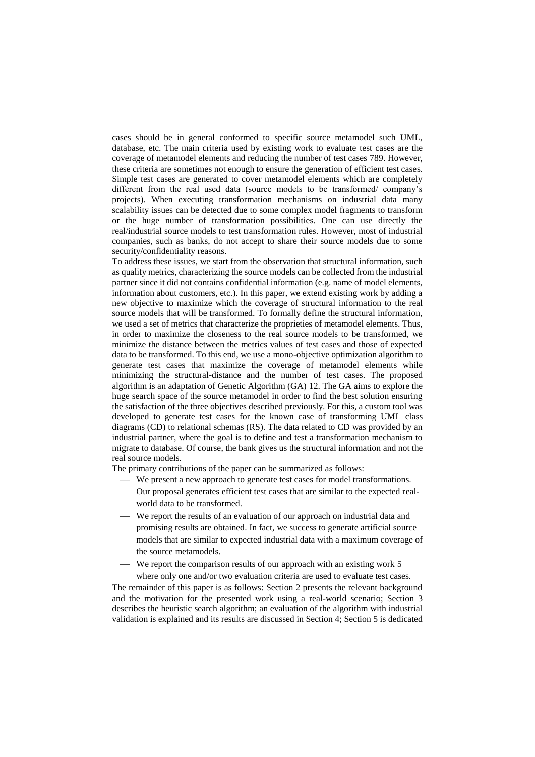cases should be in general conformed to specific source metamodel such UML, database, etc. The main criteria used by existing work to evaluate test cases are the coverage of metamodel elements and reducing the number of test cases [78](#page-8-4)[9.](#page-8-5) However, these criteria are sometimes not enough to ensure the generation of efficient test cases. Simple test cases are generated to cover metamodel elements which are completely different from the real used data (source models to be transformed/ company's projects). When executing transformation mechanisms on industrial data many scalability issues can be detected due to some complex model fragments to transform or the huge number of transformation possibilities. One can use directly the real/industrial source models to test transformation rules. However, most of industrial companies, such as banks, do not accept to share their source models due to some security/confidentiality reasons.

To address these issues, we start from the observation that structural information, such as quality metrics, characterizing the source models can be collected from the industrial partner since it did not contains confidential information (e.g. name of model elements, information about customers, etc.). In this paper, we extend existing work by adding a new objective to maximize which the coverage of structural information to the real source models that will be transformed. To formally define the structural information, we used a set of metrics that characterize the proprieties of metamodel elements. Thus, in order to maximize the closeness to the real source models to be transformed, we minimize the distance between the metrics values of test cases and those of expected data to be transformed. To this end, we use a mono-objective optimization algorithm to generate test cases that maximize the coverage of metamodel elements while minimizing the structural-distance and the number of test cases. The proposed algorithm is an adaptation of Genetic Algorithm (GA) [12.](#page-8-6) The GA aims to explore the huge search space of the source metamodel in order to find the best solution ensuring the satisfaction of the three objectives described previously. For this, a custom tool was developed to generate test cases for the known case of transforming UML class diagrams (CD) to relational schemas (RS). The data related to CD was provided by an industrial partner, where the goal is to define and test a transformation mechanism to migrate to database. Of course, the bank gives us the structural information and not the real source models.

The primary contributions of the paper can be summarized as follows:

- We present a new approach to generate test cases for model transformations. Our proposal generates efficient test cases that are similar to the expected realworld data to be transformed.
- We report the results of an evaluation of our approach on industrial data and promising results are obtained. In fact, we success to generate artificial source models that are similar to expected industrial data with a maximum coverage of the source metamodels.
- We report the comparison results of our approach with an existing work [5](#page-8-2) where only one and/or two evaluation criteria are used to evaluate test cases.

The remainder of this paper is as follows: Section 2 presents the relevant background and the motivation for the presented work using a real-world scenario; Section 3 describes the heuristic search algorithm; an evaluation of the algorithm with industrial validation is explained and its results are discussed in Section 4; Section 5 is dedicated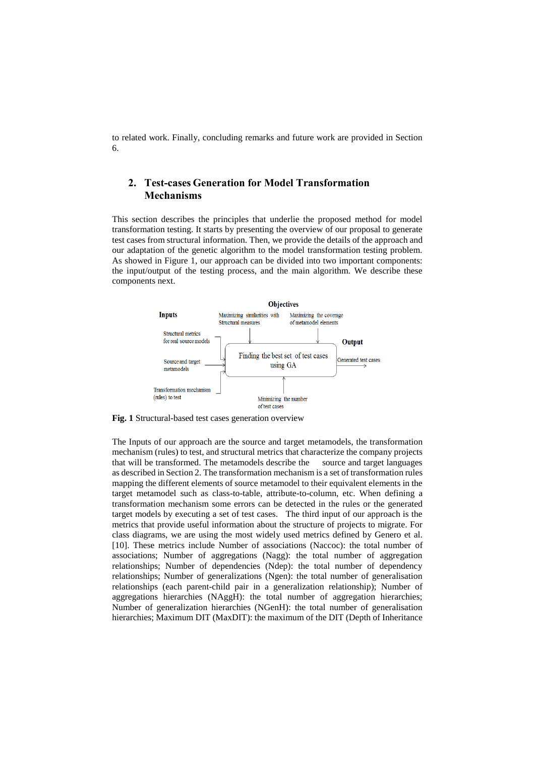to related work. Finally, concluding remarks and future work are provided in Section 6.

## **2. Test-cases Generation for Model Transformation Mechanisms**

This section describes the principles that underlie the proposed method for model transformation testing. It starts by presenting the overview of our proposal to generate test cases from structural information. Then, we provide the details of the approach and our adaptation of the genetic algorithm to the model transformation testing problem. As showed in Figure 1, our approach can be divided into two important components: the input/output of the testing process, and the main algorithm. We describe these components next.



**Fig. 1** Structural-based test cases generation overview

The Inputs of our approach are the source and target metamodels, the transformation mechanism (rules) to test, and structural metrics that characterize the company projects that will be transformed. The metamodels describe the source and target languages as described in Section 2. The transformation mechanism is a set of transformation rules mapping the different elements of source metamodel to their equivalent elements in the target metamodel such as class-to-table, attribute-to-column, etc. When defining a transformation mechanism some errors can be detected in the rules or the generated target models by executing a set of test cases. The third input of our approach is the metrics that provide useful information about the structure of projects to migrate. For class diagrams, we are using the most widely used metrics defined by Genero et al. [10]. These metrics include Number of associations (Naccoc): the total number of associations; Number of aggregations (Nagg): the total number of aggregation relationships; Number of dependencies (Ndep): the total number of dependency relationships; Number of generalizations (Ngen): the total number of generalisation relationships (each parent-child pair in a generalization relationship); Number of aggregations hierarchies (NAggH): the total number of aggregation hierarchies; Number of generalization hierarchies (NGenH): the total number of generalisation hierarchies; Maximum DIT (MaxDIT): the maximum of the DIT (Depth of Inheritance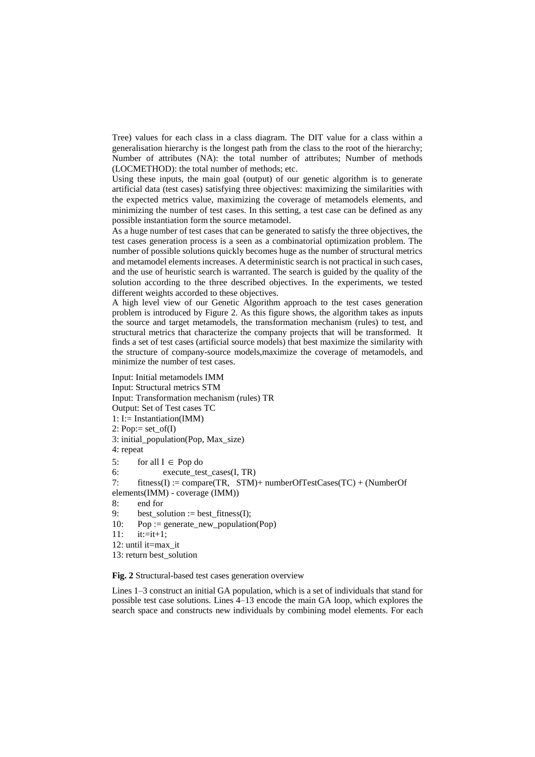Tree) values for each class in a class diagram. The DIT value for a class within a generalisation hierarchy is the longest path from the class to the root of the hierarchy; Number of attributes (NA): the total number of attributes; Number of methods (LOCMETHOD): the total number of methods; etc.

Using these inputs, the main goal (output) of our genetic algorithm is to generate artificial data (test cases) satisfying three objectives: maximizing the similarities with the expected metrics value, maximizing the coverage of metamodels elements, and minimizing the number of test cases. In this setting, a test case can be defined as any possible instantiation form the source metamodel.

As a huge number of test cases that can be generated to satisfy the three objectives, the test cases generation process is a seen as a combinatorial optimization problem. The number of possible solutions quickly becomes huge as the number of structural metrics and metamodel elements increases. A deterministic search is not practical in such cases, and the use of heuristic search is warranted. The search is guided by the quality of the solution according to the three described objectives. In the experiments, we tested different weights accorded to these objectives.

A high level view of our Genetic Algorithm approach to the test cases generation problem is introduced by Figure 2. As this figure shows, the algorithm takes as inputs the source and target metamodels, the transformation mechanism (rules) to test, and structural metrics that characterize the company projects that will be transformed. It finds a set of test cases (artificial source models) that best maximize the similarity with the structure of company-source models,maximize the coverage of metamodels, and minimize the number of test cases.

```
Input: Initial metamodels IMM
Input: Structural metrics STM
Input: Transformation mechanism (rules) TR
Output: Set of Test cases TC
1: I:= Instantiation(IMM)
2: Pop:= set_of(I)
3: initial_population(Pop, Max_size) 
4: repeat
5: for all I \in Pop do
6: execute_test_cases(I, TR)
7: fitness(I) := compare(TR, STM)+ numberOfTestCases(TC) + (NumberOf
elements(IMM) - coverage (IMM)) 
8: end for
9: best_solution := best_fitness(I);
10: Pop := generate_new_population(Pop)
11: it:=it+1;
12: until it=max_it
```
13: return best\_solution

**Fig. 2** Structural-based test cases generation overview

Lines 1–3 construct an initial GA population, which is a set of individuals that stand for possible test case solutions. Lines 4–13 encode the main GA loop, which explores the search space and constructs new individuals by combining model elements. For each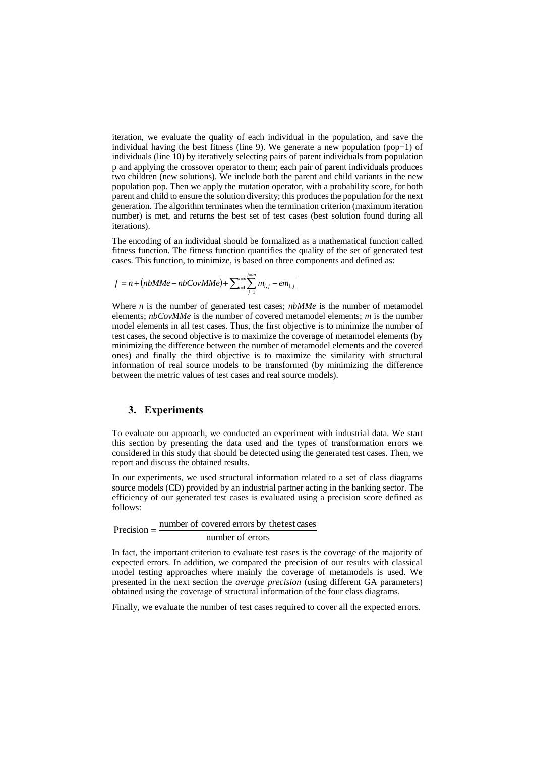iteration, we evaluate the quality of each individual in the population, and save the individual having the best fitness (line 9). We generate a new population (pop+1) of individuals (line 10) by iteratively selecting pairs of parent individuals from population p and applying the crossover operator to them; each pair of parent individuals produces two children (new solutions). We include both the parent and child variants in the new population pop. Then we apply the mutation operator, with a probability score, for both parent and child to ensure the solution diversity; this produces the population for the next generation. The algorithm terminates when the termination criterion (maximum iteration number) is met, and returns the best set of test cases (best solution found during all iterations).

The encoding of an individual should be formalized as a mathematical function called fitness function. The fitness function quantifies the quality of the set of generated test cases. This function, to minimize, is based on three components and defined as:

$$
f = n + (nbMMe - nbCovMMe) + \sum_{i=1}^{i=n} \sum_{j=1}^{n-m} |m_{i,j} - em_{i,j}|
$$

Where *n* is the number of generated test cases; *nbMMe* is the number of metamodel elements; *nbCovMMe* is the number of covered metamodel elements; *m* is the number model elements in all test cases. Thus, the first objective is to minimize the number of test cases, the second objective is to maximize the coverage of metamodel elements (by minimizing the difference between the number of metamodel elements and the covered ones) and finally the third objective is to maximize the similarity with structural information of real source models to be transformed (by minimizing the difference between the metric values of test cases and real source models).

## **3. Experiments**

To evaluate our approach, we conducted an experiment with industrial data. We start this section by presenting the data used and the types of transformation errors we considered in this study that should be detected using the generated test cases. Then, we report and discuss the obtained results.

In our experiments, we used structural information related to a set of class diagrams source models (CD) provided by an industrial partner acting in the banking sector. The efficiency of our generated test cases is evaluated using a precision score defined as follows:

# number of errors  $Precision =$  number of covered errors by the test cases

In fact, the important criterion to evaluate test cases is the coverage of the majority of expected errors. In addition, we compared the precision of our results with classical model testing approaches where mainly the coverage of metamodels is used. We presented in the next section the *average precision* (using different GA parameters) obtained using the coverage of structural information of the four class diagrams.

Finally, we evaluate the number of test cases required to cover all the expected errors.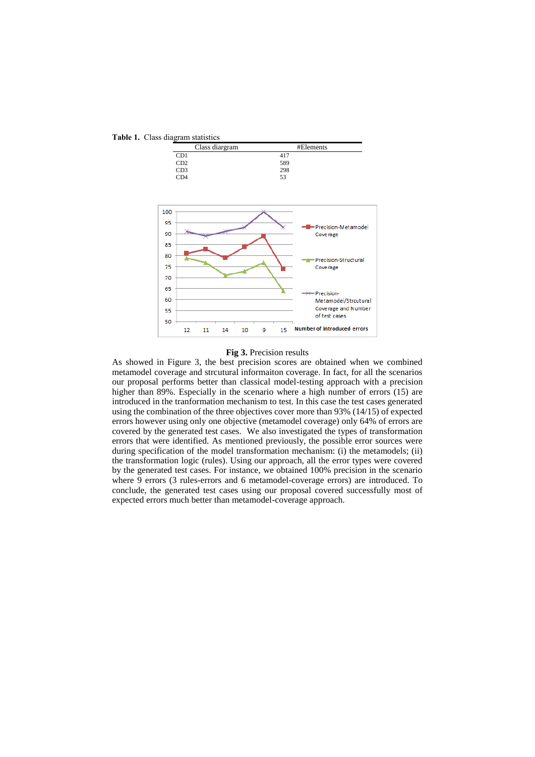**Table 1.** Class diagram statistics



### **Fig 3.** Precision results

As showed in Figure 3, the best precision scores are obtained when we combined metamodel coverage and strcutural informaiton coverage. In fact, for all the scenarios our proposal performs better than classical model-testing approach with a precision higher than 89%. Especially in the scenario where a high number of errors (15) are introduced in the tranformation mechanism to test. In this case the test cases generated using the combination of the three objectives cover more than 93% (14/15) of expected errors however using only one objective (metamodel coverage) only 64% of errors are covered by the generated test cases. We also investigated the types of transformation errors that were identified. As mentioned previously, the possible error sources were during specification of the model transformation mechanism: (i) the metamodels; (ii) the transformation logic (rules). Using our approach, all the error types were covered by the generated test cases. For instance, we obtained 100% precision in the scenario where 9 errors (3 rules-errors and 6 metamodel-coverage errors) are introduced. To conclude, the generated test cases using our proposal covered successfully most of expected errors much better than metamodel-coverage approach.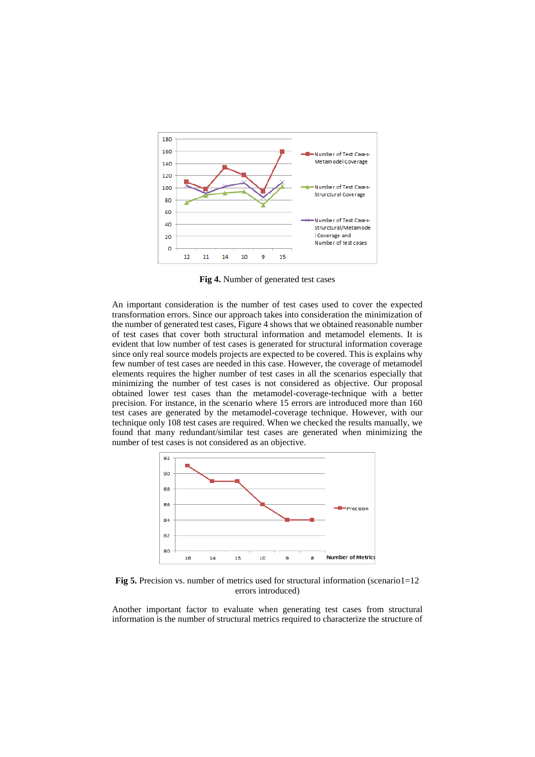

**Fig 4.** Number of generated test cases

An important consideration is the number of test cases used to cover the expected transformation errors. Since our approach takes into consideration the minimization of the number of generated test cases, Figure 4 shows that we obtained reasonable number of test cases that cover both structural information and metamodel elements. It is evident that low number of test cases is generated for structural information coverage since only real source models projects are expected to be covered. This is explains why few number of test cases are needed in this case. However, the coverage of metamodel elements requires the higher number of test cases in all the scenarios especially that minimizing the number of test cases is not considered as objective. Our proposal obtained lower test cases than the metamodel-coverage-technique with a better precision. For instance, in the scenario where 15 errors are introduced more than 160 test cases are generated by the metamodel-coverage technique. However, with our technique only 108 test cases are required. When we checked the results manually, we found that many redundant/similar test cases are generated when minimizing the number of test cases is not considered as an objective.



**Fig 5.** Precision vs. number of metrics used for structural information (scenario1=12) errors introduced)

Another important factor to evaluate when generating test cases from structural information is the number of structural metrics required to characterize the structure of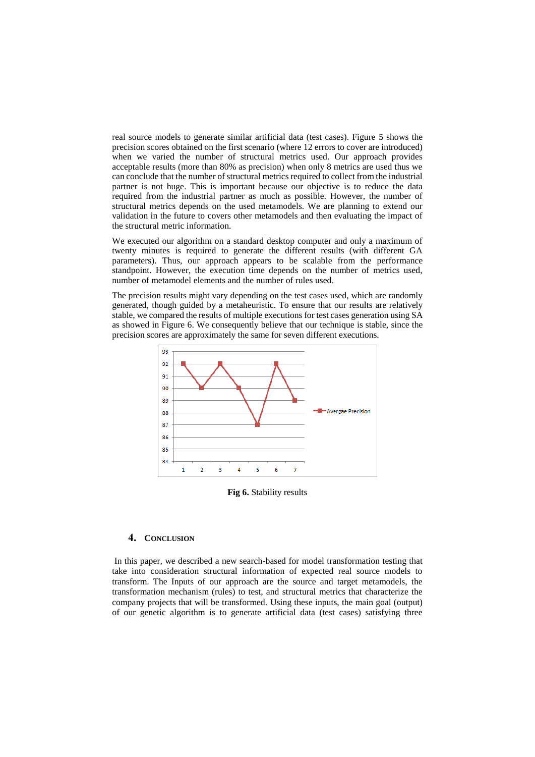real source models to generate similar artificial data (test cases). Figure 5 shows the precision scores obtained on the first scenario (where 12 errors to cover are introduced) when we varied the number of structural metrics used. Our approach provides acceptable results (more than 80% as precision) when only 8 metrics are used thus we can conclude that the number of structural metrics required to collect from the industrial partner is not huge. This is important because our objective is to reduce the data required from the industrial partner as much as possible. However, the number of structural metrics depends on the used metamodels. We are planning to extend our validation in the future to covers other metamodels and then evaluating the impact of the structural metric information.

We executed our algorithm on a standard desktop computer and only a maximum of twenty minutes is required to generate the different results (with different GA parameters). Thus, our approach appears to be scalable from the performance standpoint. However, the execution time depends on the number of metrics used, number of metamodel elements and the number of rules used.

The precision results might vary depending on the test cases used, which are randomly generated, though guided by a metaheuristic. To ensure that our results are relatively stable, we compared the results of multiple executions for test cases generation using SA as showed in Figure 6. We consequently believe that our technique is stable, since the precision scores are approximately the same for seven different executions.



**Fig 6.** Stability results

### **4. CONCLUSION**

In this paper, we described a new search-based for model transformation testing that take into consideration structural information of expected real source models to transform. The Inputs of our approach are the source and target metamodels, the transformation mechanism (rules) to test, and structural metrics that characterize the company projects that will be transformed. Using these inputs, the main goal (output) of our genetic algorithm is to generate artificial data (test cases) satisfying three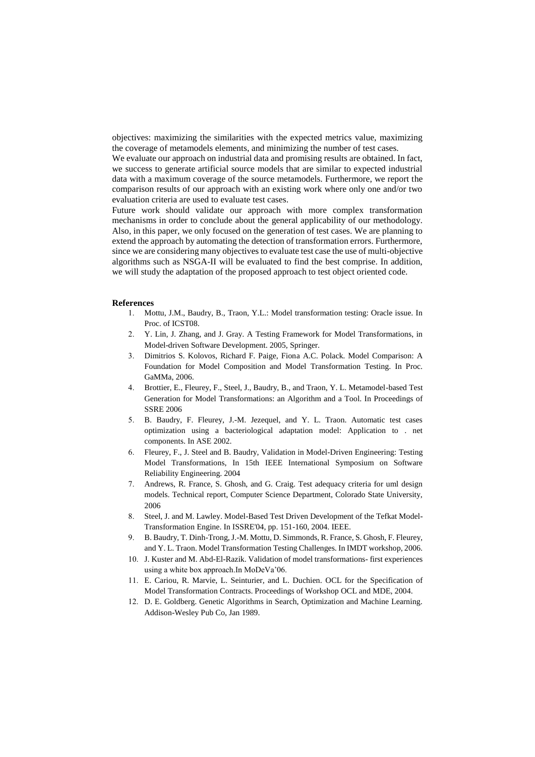objectives: maximizing the similarities with the expected metrics value, maximizing the coverage of metamodels elements, and minimizing the number of test cases.

We evaluate our approach on industrial data and promising results are obtained. In fact, we success to generate artificial source models that are similar to expected industrial data with a maximum coverage of the source metamodels. Furthermore, we report the comparison results of our approach with an existing work where only one and/or two evaluation criteria are used to evaluate test cases.

Future work should validate our approach with more complex transformation mechanisms in order to conclude about the general applicability of our methodology. Also, in this paper, we only focused on the generation of test cases. We are planning to extend the approach by automating the detection of transformation errors. Furthermore, since we are considering many objectives to evaluate test case the use of multi-objective algorithms such as NSGA-II will be evaluated to find the best comprise. In addition, we will study the adaptation of the proposed approach to test object oriented code.

### <span id="page-8-1"></span>**References**

- 1. Mottu, J.M., Baudry, B., Traon, Y.L.: Model transformation testing: Oracle issue. In Proc. of ICST08.
- <span id="page-8-0"></span>2. Y. Lin, J. Zhang, and J. Gray. A Testing Framework for Model Transformations, in Model-driven Software Development. 2005, Springer.
- 3. Dimitrios S. Kolovos, Richard F. Paige, Fiona A.C. Polack. Model Comparison: A Foundation for Model Composition and Model Transformation Testing. In Proc. GaMMa, 2006.
- 4. Brottier, E., Fleurey, F., Steel, J., Baudry, B., and Traon, Y. L. Metamodel-based Test Generation for Model Transformations: an Algorithm and a Tool. In Proceedings of SSRE 2006
- <span id="page-8-2"></span>5. B. Baudry, F. Fleurey, J.-M. Jezequel, and Y. L. Traon. Automatic test cases optimization using a bacteriological adaptation model: Application to . net components. In ASE 2002.
- <span id="page-8-3"></span>6. Fleurey, F., J. Steel and B. Baudry, Validation in Model-Driven Engineering: Testing Model Transformations, In 15th IEEE International Symposium on Software Reliability Engineering. 2004
- <span id="page-8-4"></span>7. Andrews, R. France, S. Ghosh, and G. Craig. Test adequacy criteria for uml design models. Technical report, Computer Science Department, Colorado State University, 2006
- 8. Steel, J. and M. Lawley. Model-Based Test Driven Development of the Tefkat Model-Transformation Engine. In ISSRE'04, pp. 151-160, 2004. IEEE.
- <span id="page-8-5"></span>9. B. Baudry, T. Dinh-Trong, J.-M. Mottu, D. Simmonds, R. France, S. Ghosh, F. Fleurey, and Y. L. Traon. Model Transformation Testing Challenges. In IMDT workshop, 2006.
- 10. J. Kuster and M. Abd-El-Razik. Validation of model transformations- first experiences using a white box approach.In MoDeVa'06.
- 11. E. Cariou, R. Marvie, L. Seinturier, and L. Duchien. OCL for the Specification of Model Transformation Contracts. Proceedings of Workshop OCL and MDE, 2004.
- <span id="page-8-6"></span>12. D. E. Goldberg. Genetic Algorithms in Search, Optimization and Machine Learning. Addison-Wesley Pub Co, Jan 1989.